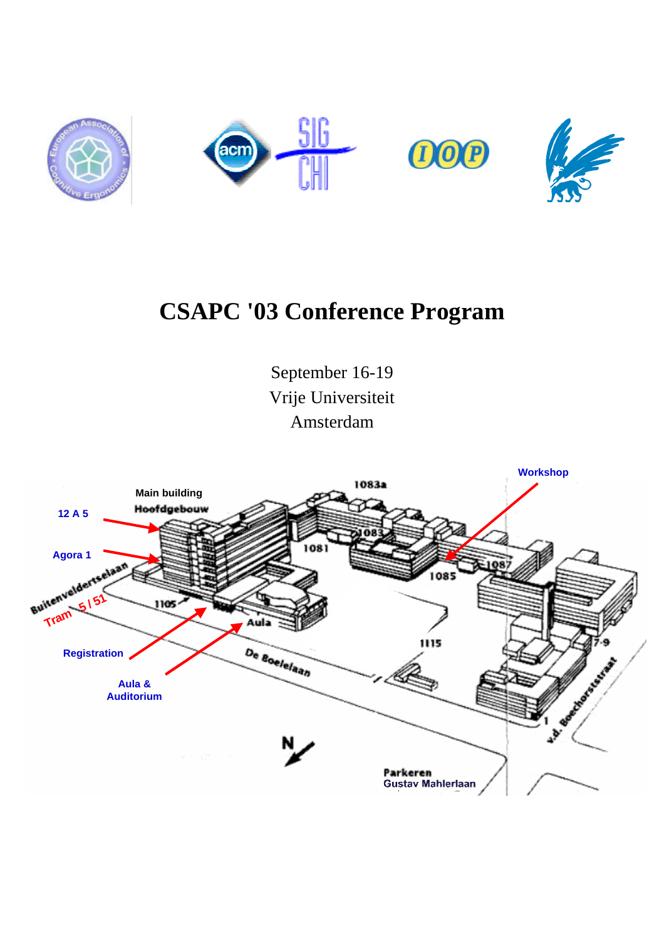

# **CSAPC '03 Conference Program**

September 16-19 Vrije Universiteit Amsterdam

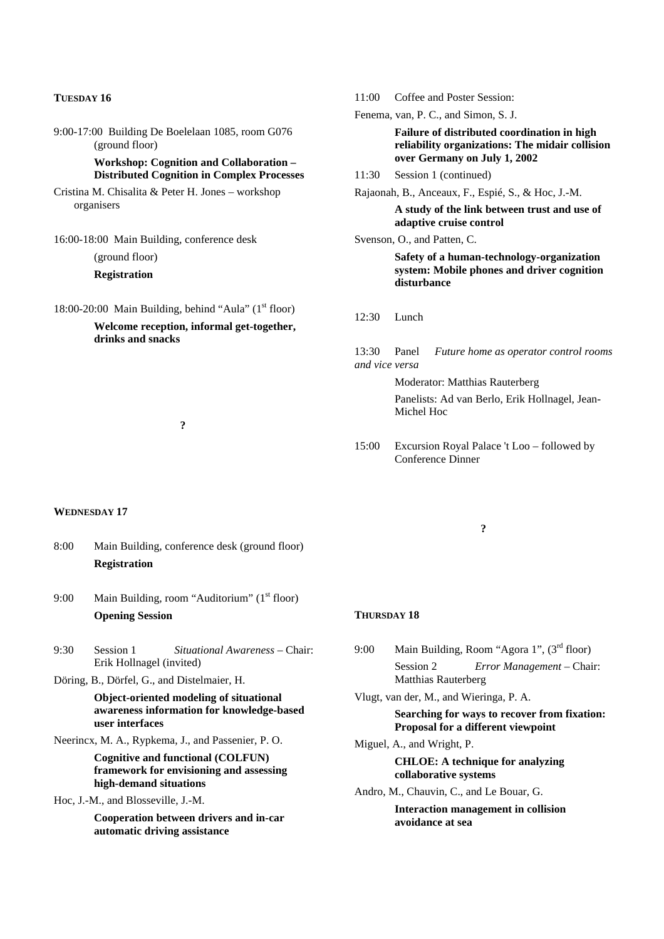### **TUESDAY 16**

9:00-17:00 Building De Boelelaan 1085, room G076 (ground floor) **Workshop: Cognition and Collaboration – Distributed Cognition in Complex Processes** Cristina M. Chisalita & Peter H. Jones – workshop organisers 16:00-18:00 Main Building, conference desk (ground floor) **Registration** 18:00-20:00 Main Building, behind "Aula" (1<sup>st</sup> floor) **Welcome reception, informal get-together, drinks and snacks**

**?**

### **WEDNESDAY 17**

- 8:00 Main Building, conference desk (ground floor) **Registration**
- 9:00 Main Building, room "Auditorium" (1<sup>st</sup> floor) **Opening Session**
- 9:30 Session 1 *Situational Awareness* Chair: Erik Hollnagel (invited)

Döring, B., Dörfel, G., and Distelmaier, H.

**Object-oriented modeling of situational awareness information for knowledge-based user interfaces**

Neerincx, M. A., Rypkema, J., and Passenier, P. O.

**Cognitive and functional (COLFUN) framework for envisioning and assessing high-demand situations**

Hoc, J.-M., and Blosseville, J.-M.

**Cooperation between drivers and in-car automatic driving assistance**

11:00 Coffee and Poster Session:

Fenema, van, P. C., and Simon, S. J.

**Failure of distributed coordination in high reliability organizations: The midair collision over Germany on July 1, 2002**

- 11:30 Session 1 (continued)
- Rajaonah, B., Anceaux, F., Espié, S., & Hoc, J.-M.

**A study of the link between trust and use of adaptive cruise control**

Svenson, O., and Patten, C.

**Safety of a human-technology-organization system: Mobile phones and driver cognition disturbance**

- 12:30 Lunch
- 13:30 Panel *Future home as operator control rooms and vice versa*

Moderator: Matthias Rauterberg

Panelists: Ad van Berlo, Erik Hollnagel, Jean-Michel Hoc

15:00 Excursion Royal Palace 't Loo – followed by Conference Dinner

**?**

#### **THURSDAY 18**

9:00 Main Building, Room "Agora 1", (3<sup>rd</sup> floor) Session 2 *Error Management* – Chair: Matthias Rauterberg

Vlugt, van der, M., and Wieringa, P. A. **Searching for ways to recover from fixation: Proposal for a different viewpoint**

Miguel, A., and Wright, P. **CHLOE: A technique for analyzing collaborative systems**

Andro, M., Chauvin, C., and Le Bouar, G.

**Interaction management in collision avoidance at sea**